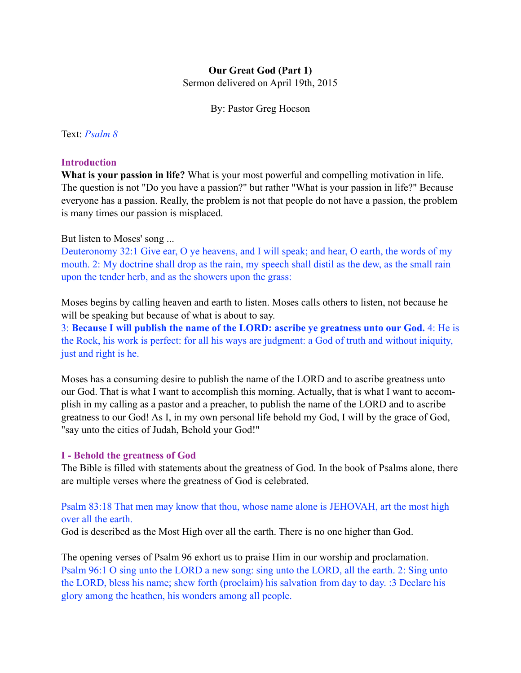## **Our Great God (Part 1)**

Sermon delivered on April 19th, 2015

By: Pastor Greg Hocson

Text: *Psalm 8*

### **Introduction**

**What is your passion in life?** What is your most powerful and compelling motivation in life. The question is not "Do you have a passion?" but rather "What is your passion in life?" Because everyone has a passion. Really, the problem is not that people do not have a passion, the problem is many times our passion is misplaced.

### But listen to Moses' song ...

Deuteronomy 32:1 Give ear, O ye heavens, and I will speak; and hear, O earth, the words of my mouth. 2: My doctrine shall drop as the rain, my speech shall distil as the dew, as the small rain upon the tender herb, and as the showers upon the grass:

Moses begins by calling heaven and earth to listen. Moses calls others to listen, not because he will be speaking but because of what is about to say.

3: **Because I will publish the name of the LORD: ascribe ye greatness unto our God.** 4: He is the Rock, his work is perfect: for all his ways are judgment: a God of truth and without iniquity, just and right is he.

Moses has a consuming desire to publish the name of the LORD and to ascribe greatness unto our God. That is what I want to accomplish this morning. Actually, that is what I want to accomplish in my calling as a pastor and a preacher, to publish the name of the LORD and to ascribe greatness to our God! As I, in my own personal life behold my God, I will by the grace of God, "say unto the cities of Judah, Behold your God!"

### **I - Behold the greatness of God**

The Bible is filled with statements about the greatness of God. In the book of Psalms alone, there are multiple verses where the greatness of God is celebrated.

## Psalm 83:18 That men may know that thou, whose name alone is JEHOVAH, art the most high over all the earth.

God is described as the Most High over all the earth. There is no one higher than God.

The opening verses of Psalm 96 exhort us to praise Him in our worship and proclamation. Psalm 96:1 O sing unto the LORD a new song: sing unto the LORD, all the earth. 2: Sing unto the LORD, bless his name; shew forth (proclaim) his salvation from day to day. :3 Declare his glory among the heathen, his wonders among all people.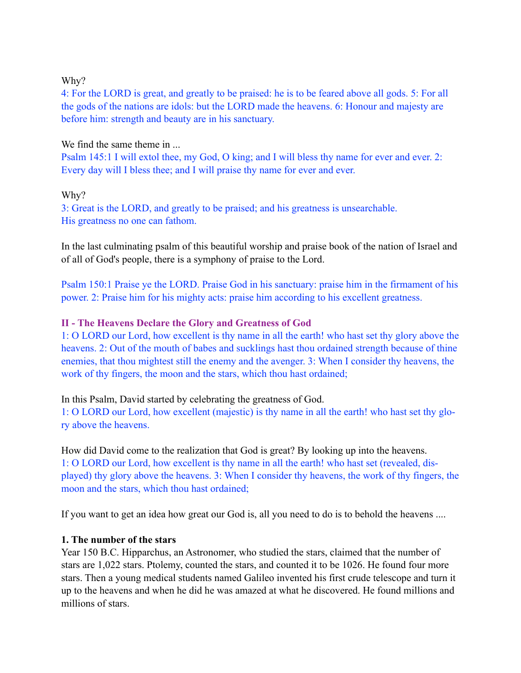### Why?

4: For the LORD is great, and greatly to be praised: he is to be feared above all gods. 5: For all the gods of the nations are idols: but the LORD made the heavens. 6: Honour and majesty are before him: strength and beauty are in his sanctuary.

### We find the same theme in ...

Psalm 145:1 I will extol thee, my God, O king; and I will bless thy name for ever and ever. 2: Every day will I bless thee; and I will praise thy name for ever and ever.

## Why?

3: Great is the LORD, and greatly to be praised; and his greatness is unsearchable. His greatness no one can fathom.

In the last culminating psalm of this beautiful worship and praise book of the nation of Israel and of all of God's people, there is a symphony of praise to the Lord.

Psalm 150:1 Praise ye the LORD. Praise God in his sanctuary: praise him in the firmament of his power. 2: Praise him for his mighty acts: praise him according to his excellent greatness.

## **II - The Heavens Declare the Glory and Greatness of God**

1: O LORD our Lord, how excellent is thy name in all the earth! who hast set thy glory above the heavens. 2: Out of the mouth of babes and sucklings hast thou ordained strength because of thine enemies, that thou mightest still the enemy and the avenger. 3: When I consider thy heavens, the work of thy fingers, the moon and the stars, which thou hast ordained;

In this Psalm, David started by celebrating the greatness of God.

1: O LORD our Lord, how excellent (majestic) is thy name in all the earth! who hast set thy glory above the heavens.

How did David come to the realization that God is great? By looking up into the heavens. 1: O LORD our Lord, how excellent is thy name in all the earth! who hast set (revealed, displayed) thy glory above the heavens. 3: When I consider thy heavens, the work of thy fingers, the moon and the stars, which thou hast ordained;

If you want to get an idea how great our God is, all you need to do is to behold the heavens ....

## **1. The number of the stars**

Year 150 B.C. Hipparchus, an Astronomer, who studied the stars, claimed that the number of stars are 1,022 stars. Ptolemy, counted the stars, and counted it to be 1026. He found four more stars. Then a young medical students named Galileo invented his first crude telescope and turn it up to the heavens and when he did he was amazed at what he discovered. He found millions and millions of stars.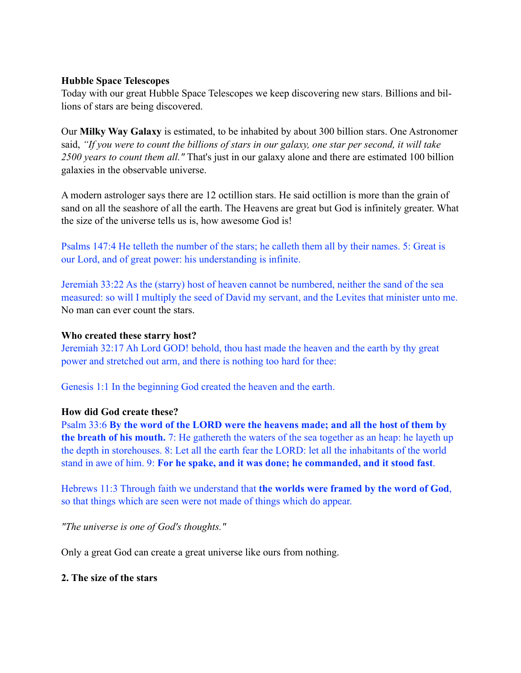### **Hubble Space Telescopes**

Today with our great Hubble Space Telescopes we keep discovering new stars. Billions and billions of stars are being discovered.

Our **Milky Way Galaxy** is estimated, to be inhabited by about 300 billion stars. One Astronomer said, *"If you were to count the billions of stars in our galaxy, one star per second, it will take 2500 years to count them all."* That's just in our galaxy alone and there are estimated 100 billion galaxies in the observable universe.

A modern astrologer says there are 12 octillion stars. He said octillion is more than the grain of sand on all the seashore of all the earth. The Heavens are great but God is infinitely greater. What the size of the universe tells us is, how awesome God is!

Psalms 147:4 He telleth the number of the stars; he calleth them all by their names. 5: Great is our Lord, and of great power: his understanding is infinite.

Jeremiah 33:22 As the (starry) host of heaven cannot be numbered, neither the sand of the sea measured: so will I multiply the seed of David my servant, and the Levites that minister unto me. No man can ever count the stars.

### **Who created these starry host?**

Jeremiah 32:17 Ah Lord GOD! behold, thou hast made the heaven and the earth by thy great power and stretched out arm, and there is nothing too hard for thee:

Genesis 1:1 In the beginning God created the heaven and the earth.

### **How did God create these?**

Psalm 33:6 **By the word of the LORD were the heavens made; and all the host of them by the breath of his mouth.** 7: He gathereth the waters of the sea together as an heap: he layeth up the depth in storehouses. 8: Let all the earth fear the LORD: let all the inhabitants of the world stand in awe of him. 9: **For he spake, and it was done; he commanded, and it stood fast**.

Hebrews 11:3 Through faith we understand that **the worlds were framed by the word of God**, so that things which are seen were not made of things which do appear.

*"The universe is one of God's thoughts."* 

Only a great God can create a great universe like ours from nothing.

### **2. The size of the stars**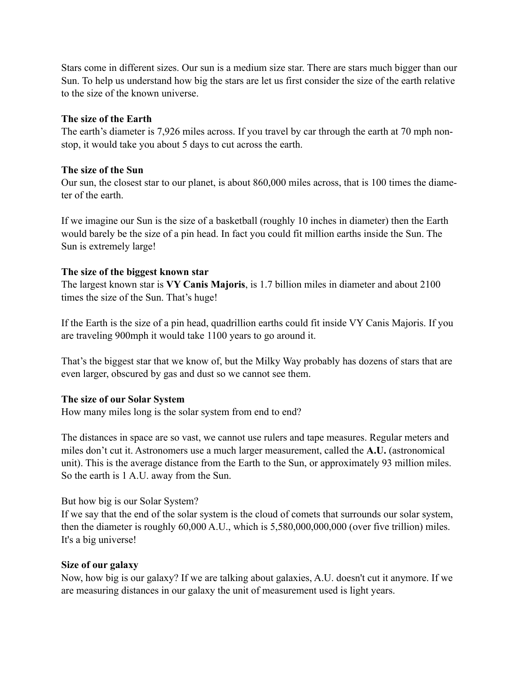Stars come in different sizes. Our sun is a medium size star. There are stars much bigger than our Sun. To help us understand how big the stars are let us first consider the size of the earth relative to the size of the known universe.

## **The size of the Earth**

The earth's diameter is 7,926 miles across. If you travel by car through the earth at 70 mph nonstop, it would take you about 5 days to cut across the earth.

## **The size of the Sun**

Our sun, the closest star to our planet, is about 860,000 miles across, that is 100 times the diameter of the earth.

If we imagine our Sun is the size of a basketball (roughly 10 inches in diameter) then the Earth would barely be the size of a pin head. In fact you could fit million earths inside the Sun. The Sun is extremely large!

## **The size of the biggest known star**

The largest known star is **VY Canis Majoris**, is 1.7 billion miles in diameter and about 2100 times the size of the Sun. That's huge!

If the Earth is the size of a pin head, quadrillion earths could fit inside VY Canis Majoris. If you are traveling 900mph it would take 1100 years to go around it.

That's the biggest star that we know of, but the Milky Way probably has dozens of stars that are even larger, obscured by gas and dust so we cannot see them.

# **The size of our Solar System**

How many miles long is the solar system from end to end?

The distances in space are so vast, we cannot use rulers and tape measures. Regular meters and miles don't cut it. Astronomers use a much larger measurement, called the **A.U.** (astronomical unit). This is the average distance from the Earth to the Sun, or approximately 93 million miles. So the earth is 1 A.U. away from the Sun.

But how big is our Solar System?

If we say that the end of the solar system is the cloud of comets that surrounds our solar system, then the diameter is roughly 60,000 A.U., which is 5,580,000,000,000 (over five trillion) miles. It's a big universe!

# **Size of our galaxy**

Now, how big is our galaxy? If we are talking about galaxies, A.U. doesn't cut it anymore. If we are measuring distances in our galaxy the unit of measurement used is light years.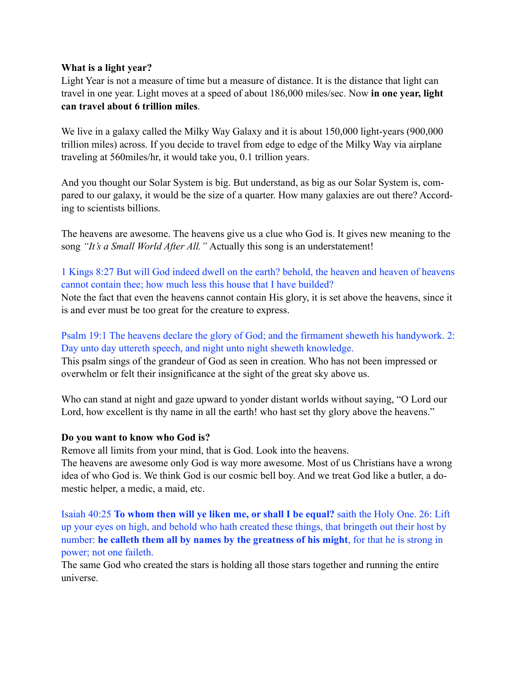### **What is a light year?**

Light Year is not a measure of time but a measure of distance. It is the distance that light can travel in one year. Light moves at a speed of about 186,000 miles/sec. Now **in one year, light can travel about 6 trillion miles**.

We live in a galaxy called the Milky Way Galaxy and it is about 150,000 light-years (900,000) trillion miles) across. If you decide to travel from edge to edge of the Milky Way via airplane traveling at 560miles/hr, it would take you, 0.1 trillion years.

And you thought our Solar System is big. But understand, as big as our Solar System is, compared to our galaxy, it would be the size of a quarter. How many galaxies are out there? According to scientists billions.

The heavens are awesome. The heavens give us a clue who God is. It gives new meaning to the song *"It's a Small World After All."* Actually this song is an understatement!

## 1 Kings 8:27 But will God indeed dwell on the earth? behold, the heaven and heaven of heavens cannot contain thee; how much less this house that I have builded?

Note the fact that even the heavens cannot contain His glory, it is set above the heavens, since it is and ever must be too great for the creature to express.

# Psalm 19:1 The heavens declare the glory of God; and the firmament sheweth his handywork. 2: Day unto day uttereth speech, and night unto night sheweth knowledge.

This psalm sings of the grandeur of God as seen in creation. Who has not been impressed or overwhelm or felt their insignificance at the sight of the great sky above us.

Who can stand at night and gaze upward to yonder distant worlds without saying, "O Lord our Lord, how excellent is thy name in all the earth! who hast set thy glory above the heavens."

## **Do you want to know who God is?**

Remove all limits from your mind, that is God. Look into the heavens.

The heavens are awesome only God is way more awesome. Most of us Christians have a wrong idea of who God is. We think God is our cosmic bell boy. And we treat God like a butler, a domestic helper, a medic, a maid, etc.

Isaiah 40:25 **To whom then will ye liken me, or shall I be equal?** saith the Holy One. 26: Lift up your eyes on high, and behold who hath created these things, that bringeth out their host by number: **he calleth them all by names by the greatness of his might**, for that he is strong in power; not one faileth.

The same God who created the stars is holding all those stars together and running the entire universe.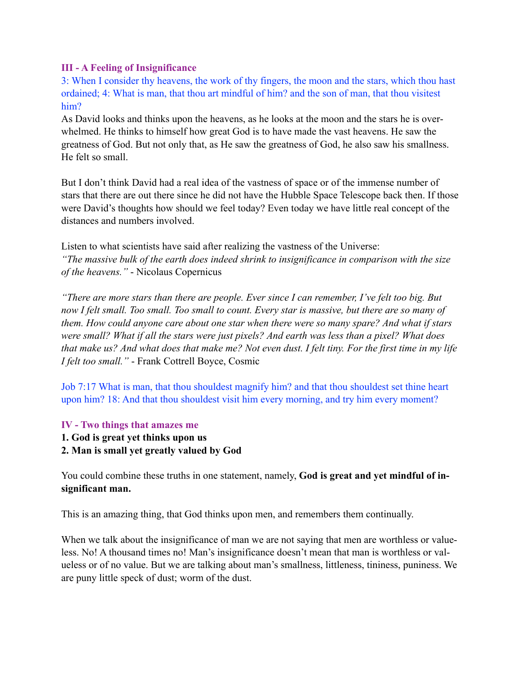## **III - A Feeling of Insignificance**

3: When I consider thy heavens, the work of thy fingers, the moon and the stars, which thou hast ordained; 4: What is man, that thou art mindful of him? and the son of man, that thou visitest him?

As David looks and thinks upon the heavens, as he looks at the moon and the stars he is overwhelmed. He thinks to himself how great God is to have made the vast heavens. He saw the greatness of God. But not only that, as He saw the greatness of God, he also saw his smallness. He felt so small.

But I don't think David had a real idea of the vastness of space or of the immense number of stars that there are out there since he did not have the Hubble Space Telescope back then. If those were David's thoughts how should we feel today? Even today we have little real concept of the distances and numbers involved.

Listen to what scientists have said after realizing the vastness of the Universe: *"The massive bulk of the earth does indeed shrink to insignificance in comparison with the size of the heavens."* - Nicolaus Copernicus

*"There are more stars than there are people. Ever since I can remember, I've felt too big. But now I felt small. Too small. Too small to count. Every star is massive, but there are so many of them. How could anyone care about one star when there were so many spare? And what if stars were small? What if all the stars were just pixels? And earth was less than a pixel? What does that make us? And what does that make me? Not even dust. I felt tiny. For the first time in my life I felt too small."* - Frank Cottrell Boyce, Cosmic

Job 7:17 What is man, that thou shouldest magnify him? and that thou shouldest set thine heart upon him? 18: And that thou shouldest visit him every morning, and try him every moment?

## **IV - Two things that amazes me**

- **1. God is great yet thinks upon us**
- **2. Man is small yet greatly valued by God**

You could combine these truths in one statement, namely, **God is great and yet mindful of insignificant man.**

This is an amazing thing, that God thinks upon men, and remembers them continually.

When we talk about the insignificance of man we are not saying that men are worthless or valueless. No! A thousand times no! Man's insignificance doesn't mean that man is worthless or valueless or of no value. But we are talking about man's smallness, littleness, tininess, puniness. We are puny little speck of dust; worm of the dust.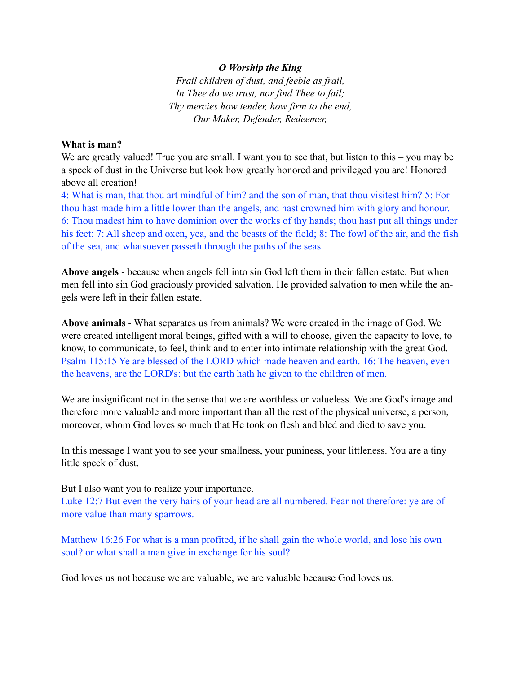#### *O Worship the King*

*Frail children of dust, and feeble as frail, In Thee do we trust, nor find Thee to fail; Thy mercies how tender, how firm to the end, Our Maker, Defender, Redeemer,* 

#### **What is man?**

We are greatly valued! True you are small. I want you to see that, but listen to this – you may be a speck of dust in the Universe but look how greatly honored and privileged you are! Honored above all creation!

4: What is man, that thou art mindful of him? and the son of man, that thou visitest him? 5: For thou hast made him a little lower than the angels, and hast crowned him with glory and honour. 6: Thou madest him to have dominion over the works of thy hands; thou hast put all things under his feet: 7: All sheep and oxen, yea, and the beasts of the field; 8: The fowl of the air, and the fish of the sea, and whatsoever passeth through the paths of the seas.

**Above angels** - because when angels fell into sin God left them in their fallen estate. But when men fell into sin God graciously provided salvation. He provided salvation to men while the angels were left in their fallen estate.

**Above animals** - What separates us from animals? We were created in the image of God. We were created intelligent moral beings, gifted with a will to choose, given the capacity to love, to know, to communicate, to feel, think and to enter into intimate relationship with the great God. Psalm 115:15 Ye are blessed of the LORD which made heaven and earth. 16: The heaven, even the heavens, are the LORD's: but the earth hath he given to the children of men.

We are insignificant not in the sense that we are worthless or valueless. We are God's image and therefore more valuable and more important than all the rest of the physical universe, a person, moreover, whom God loves so much that He took on flesh and bled and died to save you.

In this message I want you to see your smallness, your puniness, your littleness. You are a tiny little speck of dust.

But I also want you to realize your importance.

Luke 12:7 But even the very hairs of your head are all numbered. Fear not therefore: ye are of more value than many sparrows.

Matthew 16:26 For what is a man profited, if he shall gain the whole world, and lose his own soul? or what shall a man give in exchange for his soul?

God loves us not because we are valuable, we are valuable because God loves us.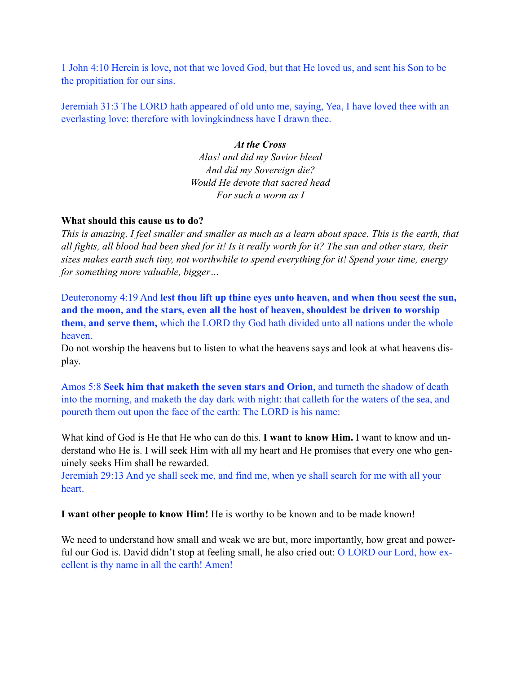1 John 4:10 Herein is love, not that we loved God, but that He loved us, and sent his Son to be the propitiation for our sins.

Jeremiah 31:3 The LORD hath appeared of old unto me, saying, Yea, I have loved thee with an everlasting love: therefore with lovingkindness have I drawn thee.

### *At the Cross*

*Alas! and did my Savior bleed And did my Sovereign die? Would He devote that sacred head For such a worm as I* 

### **What should this cause us to do?**

*This is amazing, I feel smaller and smaller as much as a learn about space. This is the earth, that all fights, all blood had been shed for it! Is it really worth for it? The sun and other stars, their sizes makes earth such tiny, not worthwhile to spend everything for it! Spend your time, energy for something more valuable, bigger…* 

Deuteronomy 4:19 And **lest thou lift up thine eyes unto heaven, and when thou seest the sun, and the moon, and the stars, even all the host of heaven, shouldest be driven to worship them, and serve them,** which the LORD thy God hath divided unto all nations under the whole heaven.

Do not worship the heavens but to listen to what the heavens says and look at what heavens display.

Amos 5:8 **Seek him that maketh the seven stars and Orion**, and turneth the shadow of death into the morning, and maketh the day dark with night: that calleth for the waters of the sea, and poureth them out upon the face of the earth: The LORD is his name:

What kind of God is He that He who can do this. **I want to know Him.** I want to know and understand who He is. I will seek Him with all my heart and He promises that every one who genuinely seeks Him shall be rewarded.

Jeremiah 29:13 And ye shall seek me, and find me, when ye shall search for me with all your heart.

**I want other people to know Him!** He is worthy to be known and to be made known!

We need to understand how small and weak we are but, more importantly, how great and powerful our God is. David didn't stop at feeling small, he also cried out: O LORD our Lord, how excellent is thy name in all the earth! Amen!